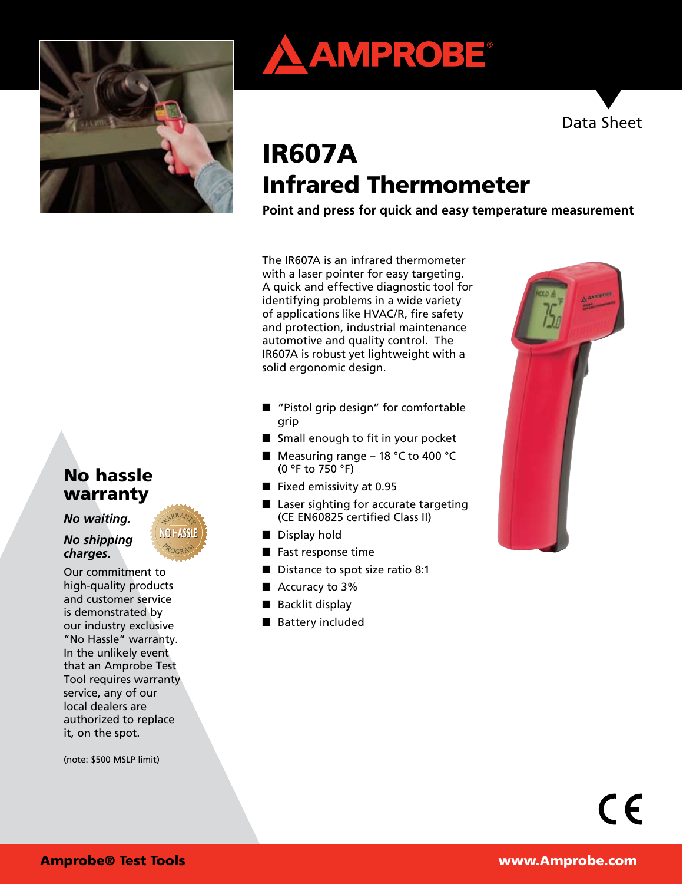





# IR607A Infrared Thermometer

**Point and press for quick and easy temperature measurement**

The IR607A is an infrared thermometer with a laser pointer for easy targeting. A quick and effective diagnostic tool for identifying problems in a wide variety of applications like HVAC/R, fire safety and protection, industrial maintenance automotive and quality control. The IR607A is robust yet lightweight with a solid ergonomic design.

- "Pistol grip design" for comfortable grip
- Small enough to fit in your pocket
- $\blacksquare$  Measuring range 18 °C to 400 °C (0 ºF to 750 °F)
- $\blacksquare$  Fixed emissivity at 0.95
- $\blacksquare$  Laser sighting for accurate targeting (CE EN60825 certified Class II)
- Display hold
- Fast response time
- Distance to spot size ratio 8:1
- $\blacksquare$  Accuracy to 3%
- $\blacksquare$  Backlit display
- Battery included



# No hassle warranty

*No waiting.* 

#### *No shipping charges.*

Our commitment to high-quality products and customer service is demonstrated by our industry exclusive "No Hassle" warranty. In the unlikely event that an Amprobe Test Tool requires warranty service, any of our local dealers are authorized to replace it, on the spot.

(note: \$500 MSLP limit)

 $\epsilon$